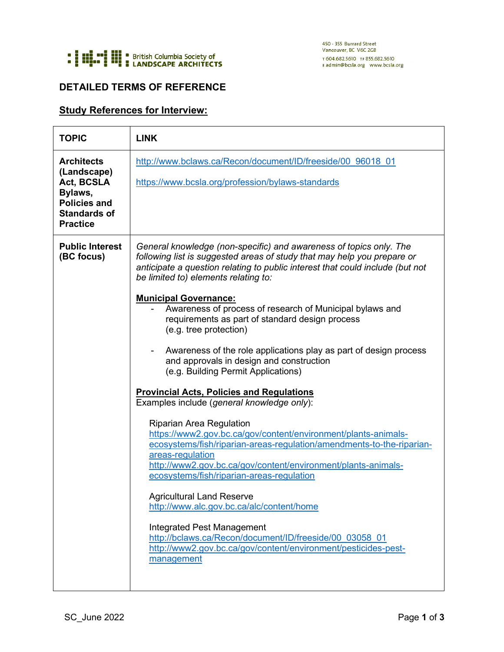

## **DETAILED TERMS OF REFERENCE**

## **Study References for Interview:**

| <b>TOPIC</b>                                                                                                               | <b>LINK</b>                                                                                                                                                                                                                                                                                                                                                                                                                                                                                                                                                                   |
|----------------------------------------------------------------------------------------------------------------------------|-------------------------------------------------------------------------------------------------------------------------------------------------------------------------------------------------------------------------------------------------------------------------------------------------------------------------------------------------------------------------------------------------------------------------------------------------------------------------------------------------------------------------------------------------------------------------------|
| <b>Architects</b><br>(Landscape)<br>Act, BCSLA<br>Bylaws,<br><b>Policies and</b><br><b>Standards of</b><br><b>Practice</b> | http://www.bclaws.ca/Recon/document/ID/freeside/00 96018 01                                                                                                                                                                                                                                                                                                                                                                                                                                                                                                                   |
|                                                                                                                            | https://www.bcsla.org/profession/bylaws-standards                                                                                                                                                                                                                                                                                                                                                                                                                                                                                                                             |
| <b>Public Interest</b><br>(BC focus)                                                                                       | General knowledge (non-specific) and awareness of topics only. The<br>following list is suggested areas of study that may help you prepare or<br>anticipate a question relating to public interest that could include (but not<br>be limited to) elements relating to:                                                                                                                                                                                                                                                                                                        |
|                                                                                                                            | <b>Municipal Governance:</b><br>Awareness of process of research of Municipal bylaws and<br>requirements as part of standard design process<br>(e.g. tree protection)                                                                                                                                                                                                                                                                                                                                                                                                         |
|                                                                                                                            | Awareness of the role applications play as part of design process<br>and approvals in design and construction<br>(e.g. Building Permit Applications)                                                                                                                                                                                                                                                                                                                                                                                                                          |
|                                                                                                                            | <b>Provincial Acts, Policies and Regulations</b><br>Examples include (general knowledge only):                                                                                                                                                                                                                                                                                                                                                                                                                                                                                |
|                                                                                                                            | <b>Riparian Area Regulation</b><br>https://www2.gov.bc.ca/gov/content/environment/plants-animals-<br>ecosystems/fish/riparian-areas-regulation/amendments-to-the-riparian-<br>areas-regulation<br>http://www2.gov.bc.ca/gov/content/environment/plants-animals-<br>ecosystems/fish/riparian-areas-regulation<br><b>Agricultural Land Reserve</b><br>http://www.alc.gov.bc.ca/alc/content/home<br><b>Integrated Pest Management</b><br>http://bclaws.ca/Recon/document/ID/freeside/00 03058 01<br>http://www2.gov.bc.ca/gov/content/environment/pesticides-pest-<br>management |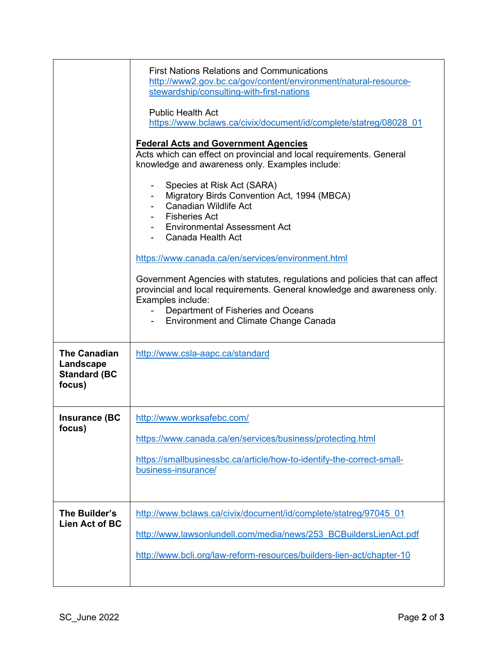|                                                                   | <b>First Nations Relations and Communications</b><br>http://www2.gov.bc.ca/gov/content/environment/natural-resource-<br>stewardship/consulting-with-first-nations<br><b>Public Health Act</b><br>https://www.bclaws.ca/civix/document/id/complete/statreg/08028 01<br><b>Federal Acts and Government Agencies</b><br>Acts which can effect on provincial and local requirements. General<br>knowledge and awareness only. Examples include:<br>Species at Risk Act (SARA)<br>Migratory Birds Convention Act, 1994 (MBCA)<br><b>Canadian Wildlife Act</b><br><b>Fisheries Act</b><br><b>Environmental Assessment Act</b><br>Canada Health Act<br>https://www.canada.ca/en/services/environment.html<br>Government Agencies with statutes, regulations and policies that can affect<br>provincial and local requirements. General knowledge and awareness only.<br>Examples include:<br>Department of Fisheries and Oceans<br><b>Environment and Climate Change Canada</b> |
|-------------------------------------------------------------------|--------------------------------------------------------------------------------------------------------------------------------------------------------------------------------------------------------------------------------------------------------------------------------------------------------------------------------------------------------------------------------------------------------------------------------------------------------------------------------------------------------------------------------------------------------------------------------------------------------------------------------------------------------------------------------------------------------------------------------------------------------------------------------------------------------------------------------------------------------------------------------------------------------------------------------------------------------------------------|
| <b>The Canadian</b><br>Landscape<br><b>Standard (BC</b><br>focus) | http://www.csla-aapc.ca/standard                                                                                                                                                                                                                                                                                                                                                                                                                                                                                                                                                                                                                                                                                                                                                                                                                                                                                                                                         |
| <b>Insurance (BC</b><br>focus)                                    | http://www.worksafebc.com/<br>https://www.canada.ca/en/services/business/protecting.html<br>https://smallbusinessbc.ca/article/how-to-identify-the-correct-small-<br>business-insurance/                                                                                                                                                                                                                                                                                                                                                                                                                                                                                                                                                                                                                                                                                                                                                                                 |
| The Builder's<br>Lien Act of BC                                   | http://www.bclaws.ca/civix/document/id/complete/statreg/97045 01<br>http://www.lawsonlundell.com/media/news/253 BCBuildersLienAct.pdf<br>http://www.bcli.org/law-reform-resources/builders-lien-act/chapter-10                                                                                                                                                                                                                                                                                                                                                                                                                                                                                                                                                                                                                                                                                                                                                           |